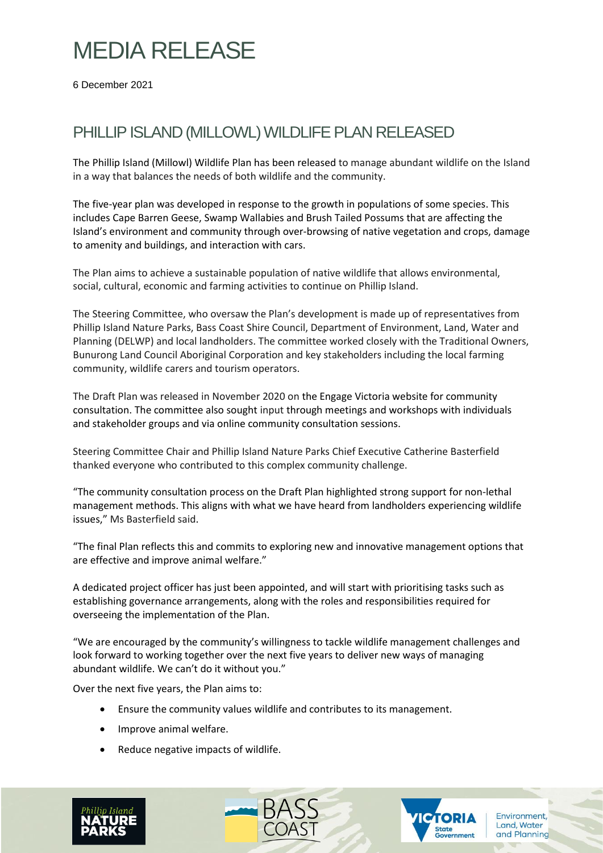## MEDIA RELEASE

6 December 2021

### PHILLIP ISLAND (MILLOWL) WILDLIFE PLAN RELEASED

The Phillip Island (Millowl) Wildlife Plan has been released to manage abundant wildlife on the Island in a way that balances the needs of both wildlife and the community.

The five-year plan was developed in response to the growth in populations of some species. This includes Cape Barren Geese, Swamp Wallabies and Brush Tailed Possums that are affecting the Island's environment and community through over-browsing of native vegetation and crops, damage to amenity and buildings, and interaction with cars.

The Plan aims to achieve a sustainable population of native wildlife that allows environmental, social, cultural, economic and farming activities to continue on Phillip Island.

The Steering Committee, who oversaw the Plan's development is made up of representatives from Phillip Island Nature Parks, Bass Coast Shire Council, Department of Environment, Land, Water and Planning (DELWP) and local landholders. The committee worked closely with the Traditional Owners, Bunurong Land Council Aboriginal Corporation and key stakeholders including the local farming community, wildlife carers and tourism operators.

The Draft Plan was released in November 2020 on the Engage Victoria website for community consultation. The committee also sought input through meetings and workshops with individuals and stakeholder groups and via online community consultation sessions.

Steering Committee Chair and Phillip Island Nature Parks Chief Executive Catherine Basterfield thanked everyone who contributed to this complex community challenge.

"The community consultation process on the Draft Plan highlighted strong support for non-lethal management methods. This aligns with what we have heard from landholders experiencing wildlife issues," Ms Basterfield said.

"The final Plan reflects this and commits to exploring new and innovative management options that are effective and improve animal welfare."

A dedicated project officer has just been appointed, and will start with prioritising tasks such as establishing governance arrangements, along with the roles and responsibilities required for overseeing the implementation of the Plan.

"We are encouraged by the community's willingness to tackle wildlife management challenges and look forward to working together over the next five years to deliver new ways of managing abundant wildlife. We can't do it without you."

Over the next five years, the Plan aims to:

- Ensure the community values wildlife and contributes to its management.
- Improve animal welfare.
- Reduce negative impacts of wildlife.





Environment, Land, Water

and Planning